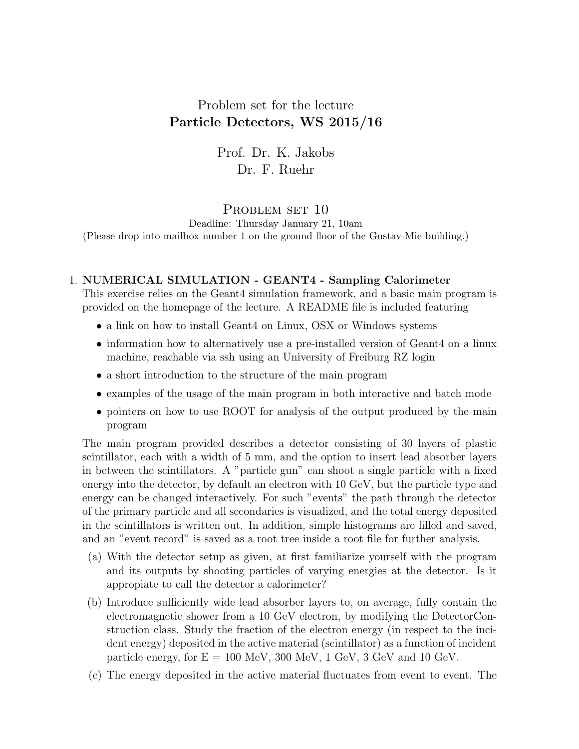## Problem set for the lecture Particle Detectors, WS 2015/16

Prof. Dr. K. Jakobs Dr. F. Ruehr

## PROBLEM SET 10

Deadline: Thursday January 21, 10am (Please drop into mailbox number 1 on the ground floor of the Gustav-Mie building.)

## 1. NUMERICAL SIMULATION - GEANT4 - Sampling Calorimeter

This exercise relies on the Geant4 simulation framework, and a basic main program is provided on the homepage of the lecture. A README file is included featuring

- a link on how to install Geant4 on Linux, OSX or Windows systems
- information how to alternatively use a pre-installed version of Geant4 on a linux machine, reachable via ssh using an University of Freiburg RZ login
- a short introduction to the structure of the main program
- examples of the usage of the main program in both interactive and batch mode
- pointers on how to use ROOT for analysis of the output produced by the main program

The main program provided describes a detector consisting of 30 layers of plastic scintillator, each with a width of 5 mm, and the option to insert lead absorber layers in between the scintillators. A "particle gun" can shoot a single particle with a fixed energy into the detector, by default an electron with 10 GeV, but the particle type and energy can be changed interactively. For such "events" the path through the detector of the primary particle and all secondaries is visualized, and the total energy deposited in the scintillators is written out. In addition, simple histograms are filled and saved, and an "event record" is saved as a root tree inside a root file for further analysis.

- (a) With the detector setup as given, at first familiarize yourself with the program and its outputs by shooting particles of varying energies at the detector. Is it appropiate to call the detector a calorimeter?
- (b) Introduce sufficiently wide lead absorber layers to, on average, fully contain the electromagnetic shower from a 10 GeV electron, by modifying the DetectorConstruction class. Study the fraction of the electron energy (in respect to the incident energy) deposited in the active material (scintillator) as a function of incident particle energy, for  $E = 100$  MeV, 300 MeV, 1 GeV, 3 GeV and 10 GeV.
- (c) The energy deposited in the active material fluctuates from event to event. The